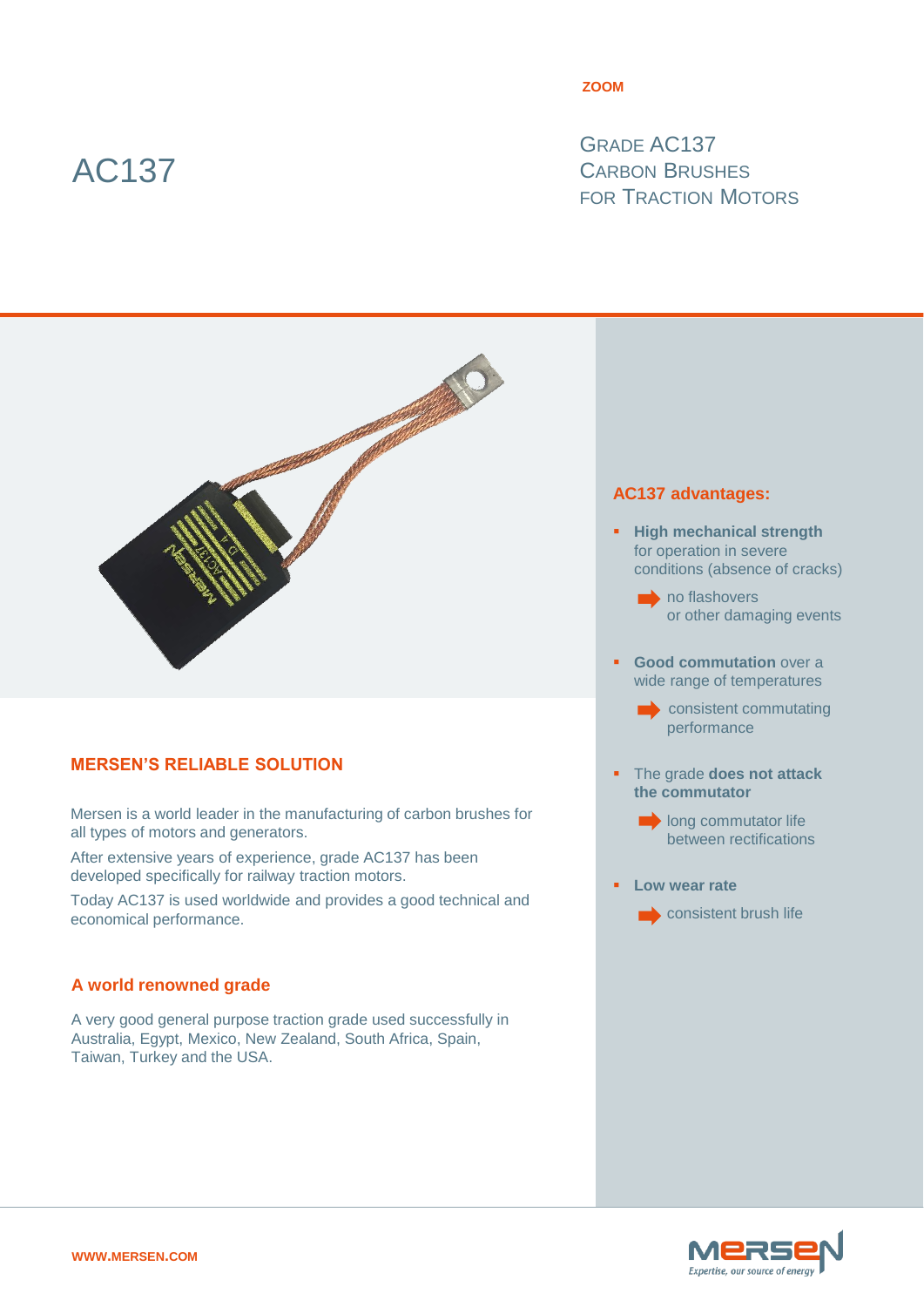# AC137

#### **ZOOM**

GRADE AC137 CARBON BRUSHES FOR TRACTION MOTORS



# **MERSEN'S RELIABLE SOLUTION**

Mersen is a world leader in the manufacturing of carbon brushes for all types of motors and generators.

After extensive years of experience, grade AC137 has been developed specifically for railway traction motors.

Today AC137 is used worldwide and provides a good technical and economical performance.

# **A world renowned grade**

A very good general purpose traction grade used successfully in Australia, Egypt, Mexico, New Zealand, South Africa, Spain, Taiwan, Turkey and the USA.

### **AC137 advantages:**

- **High mechanical strength** for operation in severe conditions (absence of cracks)
	- $\rightarrow$  no flashovers or other damaging events
- **Good commutation** over a wide range of temperatures
	- consistent commutating performance
- The grade **does not attack the commutator**
	- **long commutator life** between rectifications
- **Low wear rate**
	- $\longrightarrow$  consistent brush life